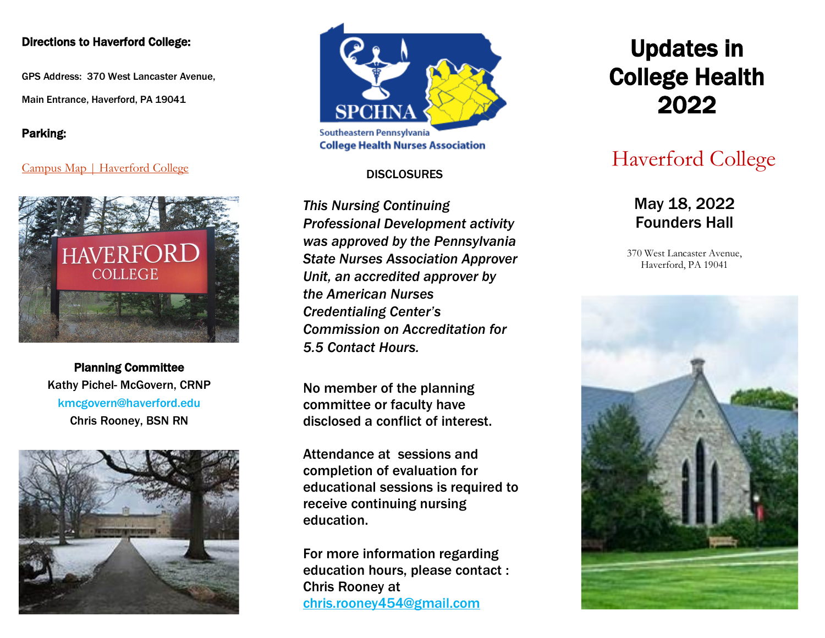#### Directions to Haverford College:

GPS Address: 370 West Lancaster Avenue,

Main Entrance, Haverford, PA 19041

Parking:

#### [Campus Map | Haverford College](https://www.haverford.edu/campus-map)



Planning Committee Kathy Pichel- McGovern, CRNP kmcgovern@haverford.edu Chris Rooney, BSN RN





#### **DISCLOSURES**

*This Nursing Continuing Professional Development activity was approved by the Pennsylvania State Nurses Association Approver Unit, an accredited approver by the American Nurses Credentialing Center's Commission on Accreditation for 5.5 Contact Hours.*

No member of the planning committee or faculty have disclosed a conflict of interest.

Attendance at sessions and completion of evaluation for educational sessions is required to receive continuing nursing education.

For more information regarding education hours, please contact : Chris Rooney at [chris.rooney454@gmail.com](mailto:chris.rooney454@gmail.com)

# Updates in College Health 2022

## Haverford College

May 18, 2022 Founders Hall

370 West Lancaster Avenue, Haverford, PA 19041